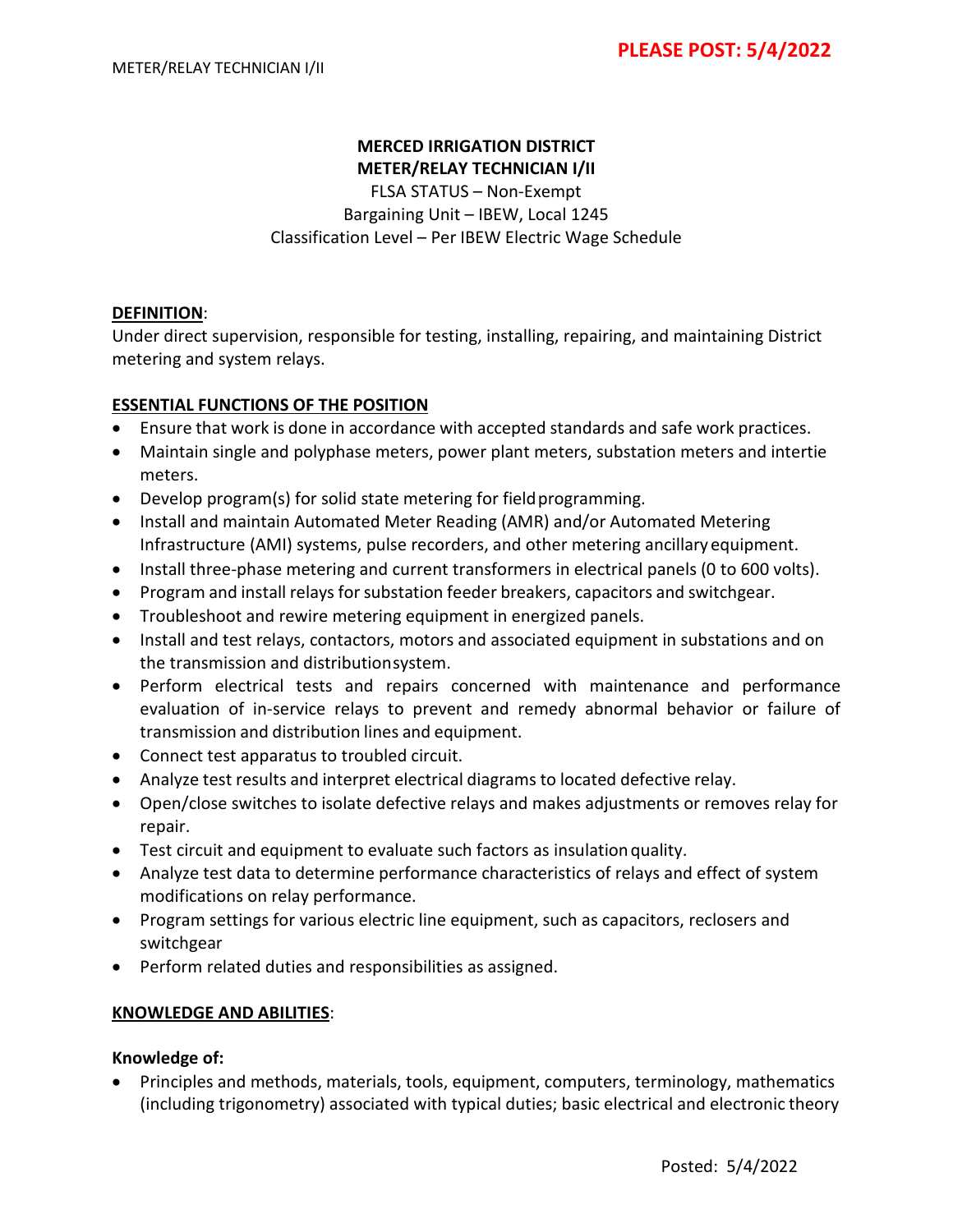# **MERCED IRRIGATION DISTRICT**

**METER/RELAY TECHNICIAN I/II** FLSA STATUS – Non‐Exempt Bargaining Unit – IBEW, Local 1245 Classification Level – Per IBEW Electric Wage Schedule

## **DEFINITION**:

Under direct supervision, responsible for testing, installing, repairing, and maintaining District metering and system relays.

## **ESSENTIAL FUNCTIONS OF THE POSITION**

- Ensure that work is done in accordance with accepted standards and safe work practices.
- Maintain single and polyphase meters, power plant meters, substation meters and intertie meters.
- Develop program(s) for solid state metering for field programming.
- Install and maintain Automated Meter Reading (AMR) and/or Automated Metering Infrastructure (AMI) systems, pulse recorders, and other metering ancillary equipment.
- Install three-phase metering and current transformers in electrical panels (0 to 600 volts).
- Program and install relays for substation feeder breakers, capacitors and switchgear.
- Troubleshoot and rewire metering equipment in energized panels.
- Install and test relays, contactors, motors and associated equipment in substations and on the transmission and distributionsystem.
- Perform electrical tests and repairs concerned with maintenance and performance evaluation of in‐service relays to prevent and remedy abnormal behavior or failure of transmission and distribution lines and equipment.
- Connect test apparatus to troubled circuit.
- Analyze test results and interpret electrical diagrams to located defective relay.
- Open/close switches to isolate defective relays and makes adjustments or removes relay for repair.
- Test circuit and equipment to evaluate such factors as insulationquality.
- Analyze test data to determine performance characteristics of relays and effect of system modifications on relay performance.
- Program settings for various electric line equipment, such as capacitors, reclosers and switchgear
- Perform related duties and responsibilities as assigned.

## **KNOWLEDGE AND ABILITIES**:

#### **Knowledge of:**

• Principles and methods, materials, tools, equipment, computers, terminology, mathematics (including trigonometry) associated with typical duties; basic electrical and electronic theory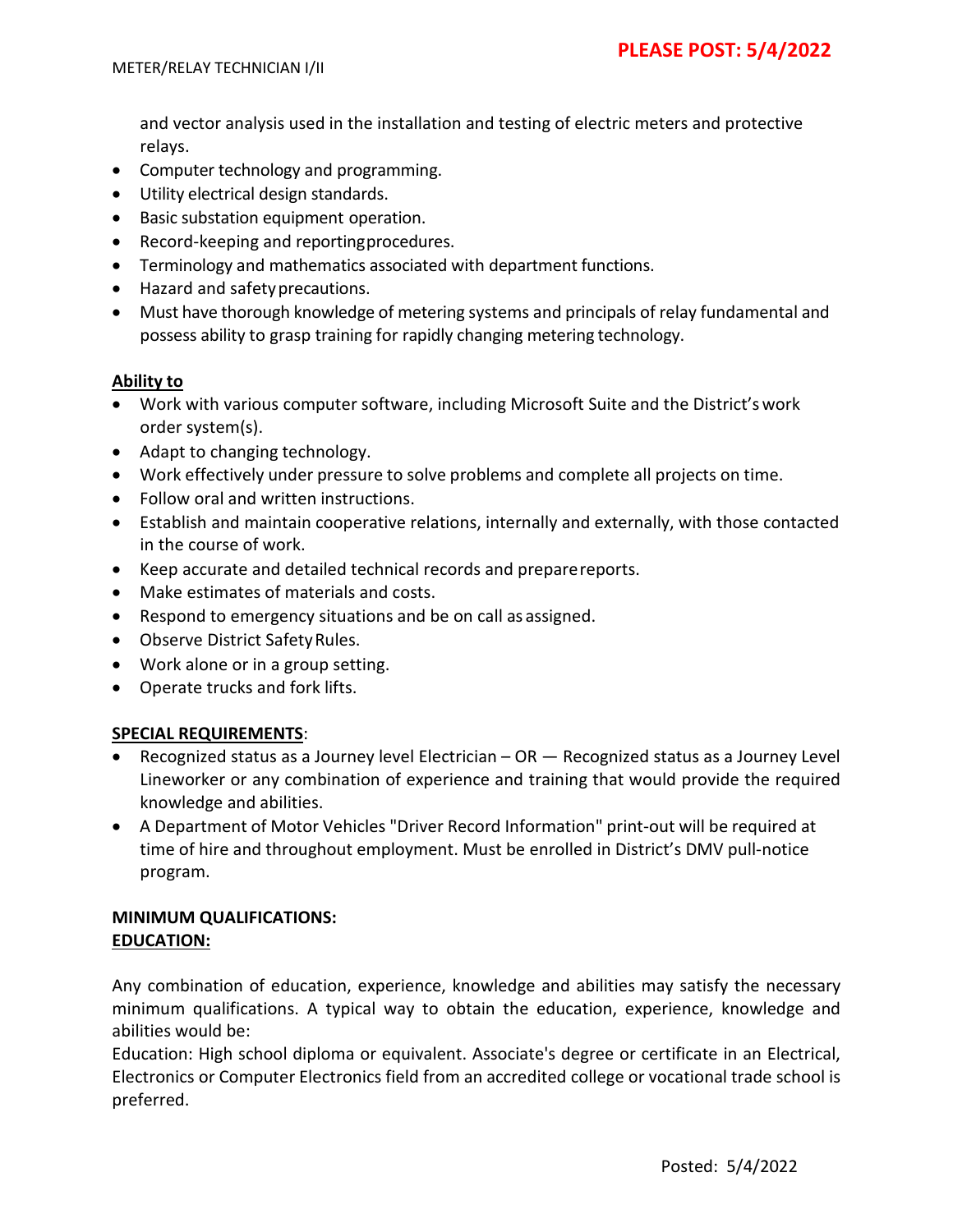and vector analysis used in the installation and testing of electric meters and protective relays.

- Computer technology and programming.
- Utility electrical design standards.
- Basic substation equipment operation.
- Record‐keeping and reportingprocedures.
- Terminology and mathematics associated with department functions.
- Hazard and safetyprecautions.
- Must have thorough knowledge of metering systems and principals of relay fundamental and possess ability to grasp training for rapidly changing metering technology.

## **Ability to**

- Work with various computer software, including Microsoft Suite and the District'swork order system(s).
- Adapt to changing technology.
- Work effectively under pressure to solve problems and complete all projects on time.
- Follow oral and written instructions.
- Establish and maintain cooperative relations, internally and externally, with those contacted in the course of work.
- Keep accurate and detailed technical records and preparereports.
- Make estimates of materials and costs.
- Respond to emergency situations and be on call as assigned.
- Observe District Safety Rules.
- Work alone or in a group setting.
- Operate trucks and fork lifts.

## **SPECIAL REQUIREMENTS**:

- Recognized status as a Journey level Electrician OR Recognized status as a Journey Level Lineworker or any combination of experience and training that would provide the required knowledge and abilities.
- A Department of Motor Vehicles "Driver Record Information" print‐out will be required at time of hire and throughout employment. Must be enrolled in District's DMV pull‐notice program.

#### **MINIMUM QUALIFICATIONS: EDUCATION:**

Any combination of education, experience, knowledge and abilities may satisfy the necessary minimum qualifications. A typical way to obtain the education, experience, knowledge and abilities would be:

Education: High school diploma or equivalent. Associate's degree or certificate in an Electrical, Electronics or Computer Electronics field from an accredited college or vocational trade school is preferred.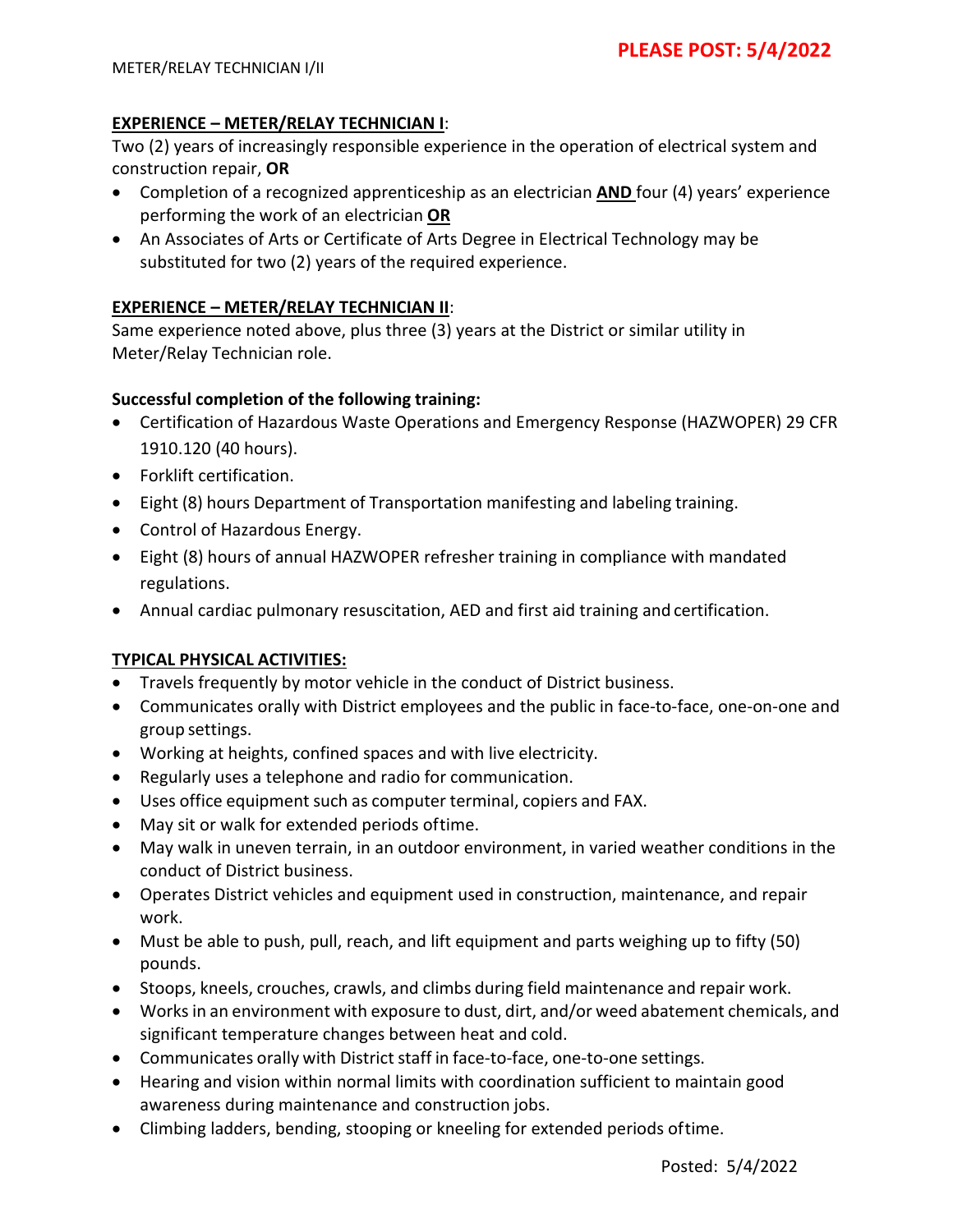## **EXPERIENCE – METER/RELAY TECHNICIAN I**:

Two (2) years of increasingly responsible experience in the operation of electrical system and construction repair, **OR**

- Completion of a recognized apprenticeship as an electrician **AND** four (4) years' experience performing the work of an electrician **OR**
- An Associates of Arts or Certificate of Arts Degree in Electrical Technology may be substituted for two (2) years of the required experience.

## **EXPERIENCE – METER/RELAY TECHNICIAN II**:

Same experience noted above, plus three (3) years at the District or similar utility in Meter/Relay Technician role.

## **Successful completion of the following training:**

- Certification of Hazardous Waste Operations and Emergency Response (HAZWOPER) 29 CFR 1910.120 (40 hours).
- Forklift certification.
- Eight (8) hours Department of Transportation manifesting and labeling training.
- Control of Hazardous Energy.
- Eight (8) hours of annual HAZWOPER refresher training in compliance with mandated regulations.
- Annual cardiac pulmonary resuscitation, AED and first aid training and certification.

## **TYPICAL PHYSICAL ACTIVITIES:**

- Travels frequently by motor vehicle in the conduct of District business.
- Communicates orally with District employees and the public in face‐to‐face, one‐on‐one and group settings.
- Working at heights, confined spaces and with live electricity.
- Regularly uses a telephone and radio for communication.
- Uses office equipment such as computer terminal, copiers and FAX.
- May sit or walk for extended periods oftime.
- May walk in uneven terrain, in an outdoor environment, in varied weather conditions in the conduct of District business.
- Operates District vehicles and equipment used in construction, maintenance, and repair work.
- Must be able to push, pull, reach, and lift equipment and parts weighing up to fifty (50) pounds.
- Stoops, kneels, crouches, crawls, and climbs during field maintenance and repair work.
- Worksin an environment with exposure to dust, dirt, and/or weed abatement chemicals, and significant temperature changes between heat and cold.
- Communicates orally with District staff in face-to-face, one-to-one settings.
- Hearing and vision within normal limits with coordination sufficient to maintain good awareness during maintenance and construction jobs.
- Climbing ladders, bending, stooping or kneeling for extended periods oftime.